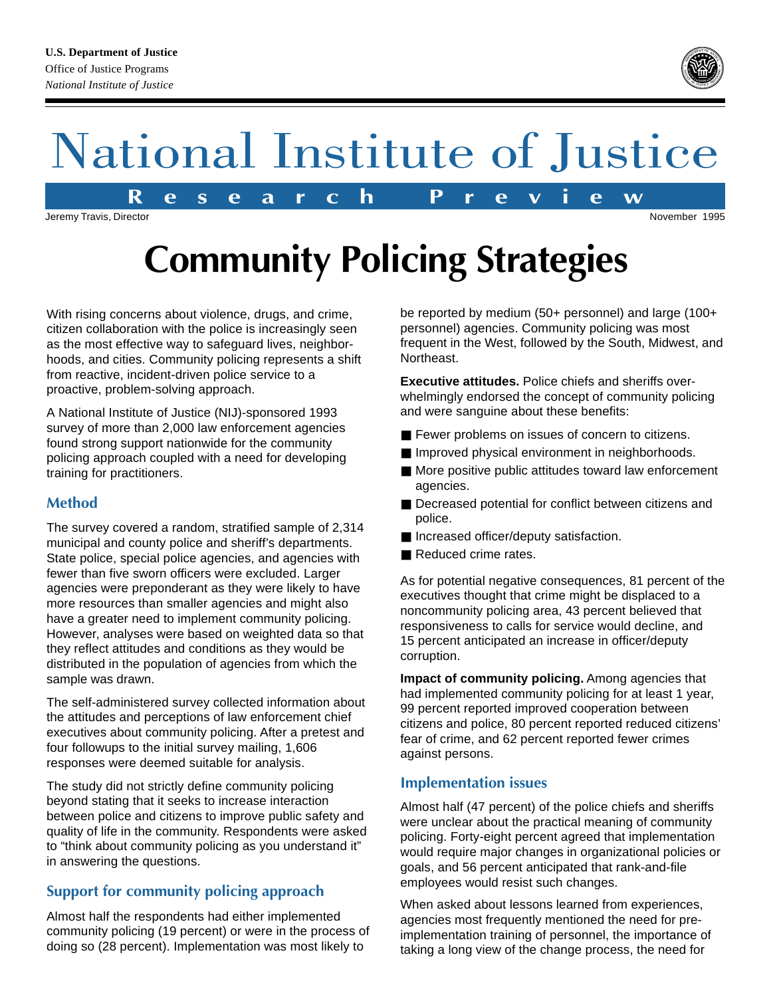#### **U.S. Department of Justice** Office of Justice Programs *National Institute of Justice*



# National Institute of Justice

**R e s e a r c h P r e v i e w**

Jeremy Travis, Director November 1995

# **Community Policing Strategies**

With rising concerns about violence, drugs, and crime, citizen collaboration with the police is increasingly seen as the most effective way to safeguard lives, neighborhoods, and cities. Community policing represents a shift from reactive, incident-driven police service to a proactive, problem-solving approach.

A National Institute of Justice (NIJ)-sponsored 1993 survey of more than 2,000 law enforcement agencies found strong support nationwide for the community policing approach coupled with a need for developing training for practitioners.

# **Method**

The survey covered a random, stratified sample of 2,314 municipal and county police and sheriff's departments. State police, special police agencies, and agencies with fewer than five sworn officers were excluded. Larger agencies were preponderant as they were likely to have more resources than smaller agencies and might also have a greater need to implement community policing. However, analyses were based on weighted data so that they reflect attitudes and conditions as they would be distributed in the population of agencies from which the sample was drawn.

The self-administered survey collected information about the attitudes and perceptions of law enforcement chief executives about community policing. After a pretest and four followups to the initial survey mailing, 1,606 responses were deemed suitable for analysis.

The study did not strictly define community policing beyond stating that it seeks to increase interaction between police and citizens to improve public safety and quality of life in the community. Respondents were asked to "think about community policing as you understand it" in answering the questions.

# **Support for community policing approach**

Almost half the respondents had either implemented community policing (19 percent) or were in the process of doing so (28 percent). Implementation was most likely to

be reported by medium (50+ personnel) and large (100+ personnel) agencies. Community policing was most frequent in the West, followed by the South, Midwest, and Northeast.

**Executive attitudes.** Police chiefs and sheriffs overwhelmingly endorsed the concept of community policing and were sanguine about these benefits:

- Fewer problems on issues of concern to citizens.
- Improved physical environment in neighborhoods.
- More positive public attitudes toward law enforcement agencies.
- Decreased potential for conflict between citizens and police.
- Increased officer/deputy satisfaction.
- Reduced crime rates.

As for potential negative consequences, 81 percent of the executives thought that crime might be displaced to a noncommunity policing area, 43 percent believed that responsiveness to calls for service would decline, and 15 percent anticipated an increase in officer/deputy corruption.

**Impact of community policing.** Among agencies that had implemented community policing for at least 1 year, 99 percent reported improved cooperation between citizens and police, 80 percent reported reduced citizens' fear of crime, and 62 percent reported fewer crimes against persons.

# **Implementation issues**

Almost half (47 percent) of the police chiefs and sheriffs were unclear about the practical meaning of community policing. Forty-eight percent agreed that implementation would require major changes in organizational policies or goals, and 56 percent anticipated that rank-and-file employees would resist such changes.

When asked about lessons learned from experiences, agencies most frequently mentioned the need for preimplementation training of personnel, the importance of taking a long view of the change process, the need for